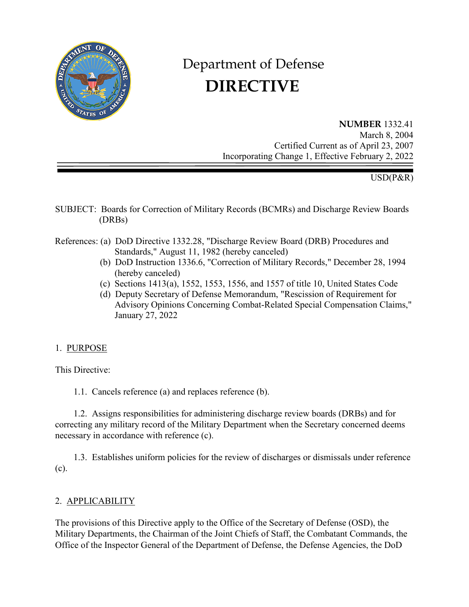

# Department of Defense  **DIRECTIVE**

**NUMBER** 1332.41 March 8, 2004 Certified Current as of April 23, 2007 Incorporating Change 1, Effective February 2, 2022

USD(P&R)

- SUBJECT: Boards for Correction of Military Records (BCMRs) and Discharge Review Boards (DRBs)
- References: (a) DoD Directive 1332.28, "Discharge Review Board (DRB) Procedures and Standards," August 11, 1982 (hereby canceled)
	- (b) DoD Instruction 1336.6, "Correction of Military Records," December 28, 1994 (hereby canceled)
	- (c) Sections 1413(a), 1552, 1553, 1556, and 1557 of title 10, United States Code
	- (d) Deputy Secretary of Defense Memorandum, "Rescission of Requirement for Advisory Opinions Concerning Combat-Related Special Compensation Claims," January 27, 2022

#### 1. PURPOSE

This Directive:

1.1. Cancels reference (a) and replaces reference (b).

1.2. Assigns responsibilities for administering discharge review boards (DRBs) and for correcting any military record of the Military Department when the Secretary concerned deems necessary in accordance with reference (c).

1.3. Establishes uniform policies for the review of discharges or dismissals under reference (c).

#### 2. APPLICABILITY

The provisions of this Directive apply to the Office of the Secretary of Defense (OSD), the Military Departments, the Chairman of the Joint Chiefs of Staff, the Combatant Commands, the Office of the Inspector General of the Department of Defense, the Defense Agencies, the DoD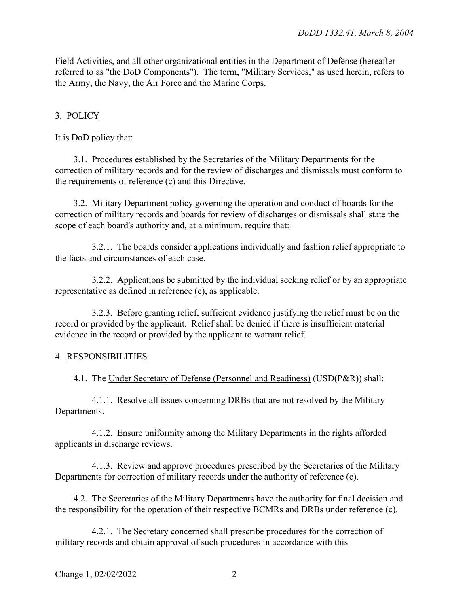Field Activities, and all other organizational entities in the Department of Defense (hereafter referred to as "the DoD Components"). The term, "Military Services," as used herein, refers to the Army, the Navy, the Air Force and the Marine Corps.

## 3. POLICY

It is DoD policy that:

3.1. Procedures established by the Secretaries of the Military Departments for the correction of military records and for the review of discharges and dismissals must conform to the requirements of reference (c) and this Directive.

3.2. Military Department policy governing the operation and conduct of boards for the correction of military records and boards for review of discharges or dismissals shall state the scope of each board's authority and, at a minimum, require that:

3.2.1. The boards consider applications individually and fashion relief appropriate to the facts and circumstances of each case.

3.2.2. Applications be submitted by the individual seeking relief or by an appropriate representative as defined in reference (c), as applicable.

3.2.3. Before granting relief, sufficient evidence justifying the relief must be on the record or provided by the applicant. Relief shall be denied if there is insufficient material evidence in the record or provided by the applicant to warrant relief.

#### 4. RESPONSIBILITIES

4.1. The Under Secretary of Defense (Personnel and Readiness) (USD(P&R)) shall:

4.1.1. Resolve all issues concerning DRBs that are not resolved by the Military Departments.

4.1.2. Ensure uniformity among the Military Departments in the rights afforded applicants in discharge reviews.

4.1.3. Review and approve procedures prescribed by the Secretaries of the Military Departments for correction of military records under the authority of reference (c).

4.2. The Secretaries of the Military Departments have the authority for final decision and the responsibility for the operation of their respective BCMRs and DRBs under reference (c).

4.2.1. The Secretary concerned shall prescribe procedures for the correction of military records and obtain approval of such procedures in accordance with this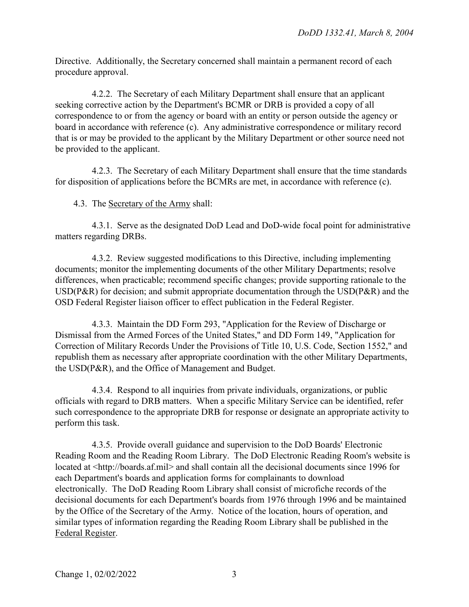Directive. Additionally, the Secretary concerned shall maintain a permanent record of each procedure approval.

4.2.2. The Secretary of each Military Department shall ensure that an applicant seeking corrective action by the Department's BCMR or DRB is provided a copy of all correspondence to or from the agency or board with an entity or person outside the agency or board in accordance with reference (c). Any administrative correspondence or military record that is or may be provided to the applicant by the Military Department or other source need not be provided to the applicant.

4.2.3. The Secretary of each Military Department shall ensure that the time standards for disposition of applications before the BCMRs are met, in accordance with reference (c).

## 4.3. The Secretary of the Army shall:

4.3.1. Serve as the designated DoD Lead and DoD-wide focal point for administrative matters regarding DRBs.

4.3.2. Review suggested modifications to this Directive, including implementing documents; monitor the implementing documents of the other Military Departments; resolve differences, when practicable; recommend specific changes; provide supporting rationale to the USD(P&R) for decision; and submit appropriate documentation through the USD(P&R) and the OSD Federal Register liaison officer to effect publication in the Federal Register.

4.3.3. Maintain the DD Form 293, "Application for the Review of Discharge or Dismissal from the Armed Forces of the United States," and DD Form 149, "Application for Correction of Military Records Under the Provisions of Title 10, U.S. Code, Section 1552," and republish them as necessary after appropriate coordination with the other Military Departments, the USD(P&R), and the Office of Management and Budget.

4.3.4. Respond to all inquiries from private individuals, organizations, or public officials with regard to DRB matters. When a specific Military Service can be identified, refer such correspondence to the appropriate DRB for response or designate an appropriate activity to perform this task.

4.3.5. Provide overall guidance and supervision to the DoD Boards' Electronic Reading Room and the Reading Room Library. The DoD Electronic Reading Room's website is located at <http://boards.af.mil> and shall contain all the decisional documents since 1996 for each Department's boards and application forms for complainants to download electronically. The DoD Reading Room Library shall consist of microfiche records of the decisional documents for each Department's boards from 1976 through 1996 and be maintained by the Office of the Secretary of the Army. Notice of the location, hours of operation, and similar types of information regarding the Reading Room Library shall be published in the Federal Register.